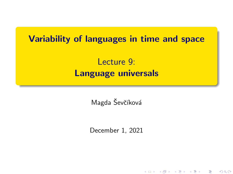# <span id="page-0-0"></span>Variability of languages in time and space

# Lecture 9: Language universals

Magda Ševčíková

December 1, 2021

★ ロメ (4 御) > (唐) > (唐) → 唐

 $2Q$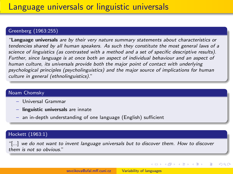#### Greenberg (1963:255)

"Language universals are by their very nature summary statements about characteristics or tendencies shared by all human speakers. As such they constitute the most general laws of a science of linguistics (as contrasted with a method and a set of specific descriptive results). Further, since language is at once both an aspect of individual behaviour and an aspect of human culture, its universals provide both the major point of contact with underlying psychological principles (psycholinguistics) and the major source of implications for human culture in general (ethnolinguistics)."

#### Noam Chomsky

- Universal Grammar
- linguistic universals are innate
- an in-depth understanding of one language (English) sufficient

#### Hockett (1963:1)

"[...] we do not want to invent language universals but to discover them. How to discover them is not so obvious."

メロメ メタメ メミメ メミメ

つくい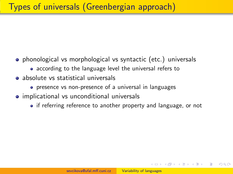- phonological vs morphological vs syntactic (etc.) universals
	- according to the language level the universal refers to
- absolute vs statistical universals
	- presence vs non-presence of a universal in languages
- **•** implicational vs unconditional universals
	- if referring reference to another property and language, or not

メタトメミトメミト

 $\Omega$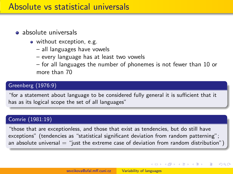## Absolute vs statistical universals

### **a** absolute universals

- without exception, e.g.
	- all languages have vowels
	- every language has at least two vowels
	- for all languages the number of phonemes is not fewer than 10 or more than 70

### Greenberg (1976:9)

"for a statement about language to be considered fully general it is sufficient that it has as its logical scope the set of all languages"

### Comrie (1981:19)

"those that are exceptionless, and those that exist as tendencies, but do still have exceptions" (tendencies as "statistical significant deviation from random patterning"; an absolute universal  $=$  "just the extreme case of deviation from random distribution")

 $\left\{ \begin{array}{ccc} 1 & 0 & 0 \\ 0 & 1 & 0 \end{array} \right.$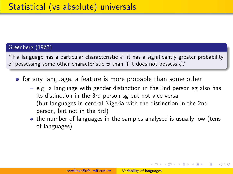### Greenberg (1963)

"If a language has a particular characteristic  $\phi$ , it has a significantly greater probability of possessing some other characteristic  $\psi$  than if it does not possess  $\phi$ ."

- **•** for any language, a feature is more probable than some other
	- e.g. a language with gender distinction in the 2nd person sg also has its distinction in the 3rd person sg but not vice versa (but languages in central Nigeria with the distinction in the 2nd person, but not in the 3rd)
	- the number of languages in the samples analysed is usually low (tens of languages)

 $\mathbf{A} \equiv \mathbf{B} + \mathbf{A} \cdot \mathbf{B} + \mathbf{A} \cdot \mathbf{B} + \mathbf{A} \cdot \mathbf{B} + \mathbf{A}$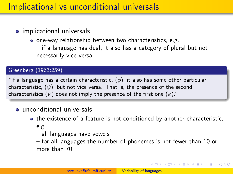# Implicational vs unconditional universals

### • implicational universals

- one-way relationship between two characteristics, e.g.
	- if a language has dual, it also has a category of plural but not necessarily vice versa

### Greenberg (1963:259)

"If a language has a certain characteristic,  $(\phi)$ , it also has some other particular characteristic,  $(\psi)$ , but not vice versa. That is, the presence of the second characteristics  $(\psi)$  does not imply the presence of the first one  $(\phi)$ ."

### $\bullet$  unconditional universals

- the existence of a feature is not conditioned by another characteristic, e.g.
	- all languages have vowels
	- for all languages the number of phonemes is not fewer than 10 or more than 70

メロメ メタメ メミメ メミメン 毛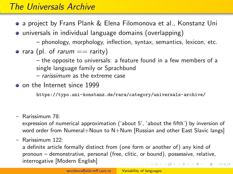# The Universals Archive

- a project by Frans Plank & Elena Filomonova et al., Konstanz Uni
- universals in individual language domains (overlapping)
	- phonology, morphology, inflection, syntax, semantics, lexicon, etc.
- rara (pl. of *rarum*  $==$  rarity)
	- the opposite to universals: a feature found in a few members of a single language family or Sprachbund
	- rarissimum as the extreme case
- o on the Internet since 1999

<https://typo.uni-konstanz.de/rara/category/universals-archive/>

– Rarissimum 78:

expression of numerical approximation ('about 5', 'about the fifth') by inversion of word order from Numeral+Noun to N+Num [Russian and other East Slavic langs]

– Rarissimum 122:

a definite article formally distinct from (one form or another of) any kind of pronoun – demonstrative, personal (free, clitic, or bound), possessive, relative, interrogative [Modern English] **YO A HE YEAR A BY YOUR**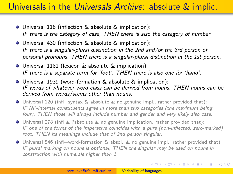# Universals in the Universals Archive: absolute & implic.

- Universal 116 (inflection & absolute & implication): IF there is the category of case, THEN there is also the category of number.
- Universal 430 (inflection & absolute & implication): IF there is a singular-plural distinction in the 2nd and/or the 3rd person of personal pronouns, THEN there is a singular-plural distinction in the 1st person.
- Universal 1181 (lexicon & absolute & implication): IF there is a separate term for 'foot', THEN there is also one for 'hand'.
- Universal 1939 (word-formation & absolute & implication): IF words of whatever word class can be derived from nouns, THEN nouns can be derived from words/stems other than nouns.
- Universal 120 (infl+syntax & absolute & no genuine impl., rather provided that): IF NP-internal constituents agree in more than two categories (the maximum being four), THEN those will always include number and gender and very likely also case.
- Universal 278 (infl & ?absolute & no genuine implication, rather provided that): IF one of the forms of the imperative coincides with a pure (non-inflected, zero-marked) root, THEN its meanings include that of 2nd person singular.
- Universal 546 (infl+word-formation & absol. & no genuine impl., rather provided that): IF plural marking on nouns is optional, THEN the singular may be used on nouns in construction with numerals higher than 1.

イロト イ押 トイヨ トイヨ トー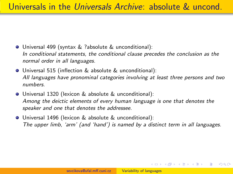- Universal 499 (syntax & ?absolute & unconditional): In conditional statements, the conditional clause precedes the conclusion as the normal order in all languages.
- Universal 515 (inflection & absolute & unconditional): All languages have pronominal categories involving at least three persons and two numbers.
- Universal 1320 (lexicon & absolute & unconditional): Among the deictic elements of every human language is one that denotes the speaker and one that denotes the addressee.
- Universal 1496 (lexicon & absolute & unconditional): The upper limb, 'arm' (and 'hand') is named by a distinct term in all languages.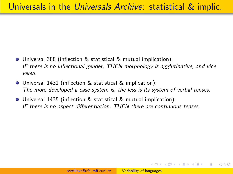- Universal 388 (inflection & statistical & mutual implication): IF there is no inflectional gender, THEN morphology is agglutinative, and vice versa.
- Universal 1431 (inflection & statistical & implication): The more developed a case system is, the less is its system of verbal tenses.
- Universal 1435 (inflection & statistical & mutual implication): IF there is no aspect differentiation, THEN there are continuous tenses.

 $\mathcal{A} \oplus \mathcal{B} \rightarrow \mathcal{A} \oplus \mathcal{B} \rightarrow \mathcal{A}$ 

 $\Omega$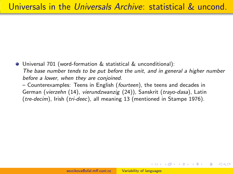Universal 701 (word-formation & statistical & unconditional): The base number tends to be put before the unit, and in general a higher number before a lower, when they are conjoined.

– Counterexamples: Teens in English (fourteen), the teens and decades in German (vierzehn (14), vierundzwanzig (24)), Sanskrit (trayo-dasa), Latin (tre-decim), Irish (tri-deec), all meaning 13 (mentioned in Stampe 1976).

 $\sqrt{2}$  )  $\sqrt{2}$  )  $\sqrt{2}$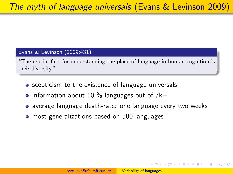### <span id="page-11-0"></span>Evans & Levinson (2009:431):

"The crucial fact for understanding the place of language in human cognition is their diversity."

- **•** scepticism to the existence of language universals
- information about 10  $\%$  languages out of 7k+
- average language death-rate: one language every two weeks
- most generalizations based on 500 languages

メラト メミト メミト